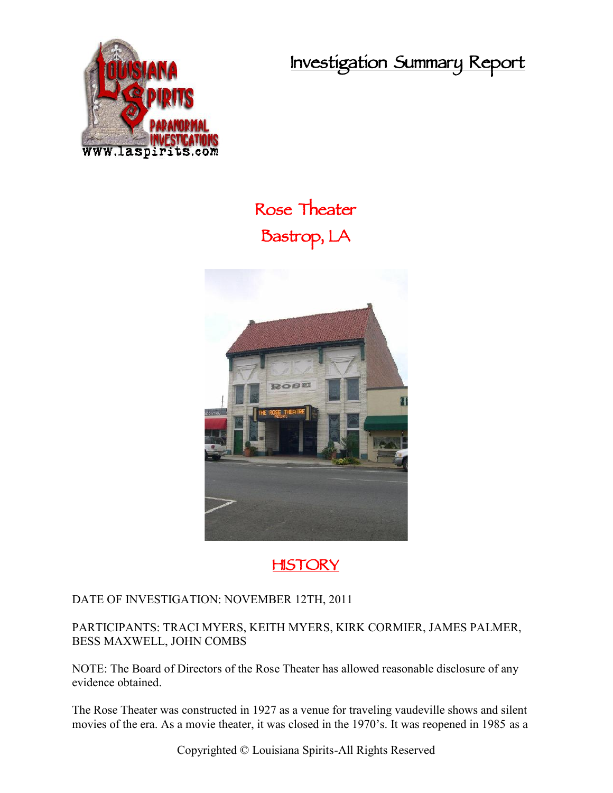**Investigation Summary Report**



# **Rose Theater Bastrop, LA**



**HISTORY**

#### DATE OF INVESTIGATION: NOVEMBER 12TH, 2011

PARTICIPANTS: TRACI MYERS, KEITH MYERS, KIRK CORMIER, JAMES PALMER, BESS MAXWELL, JOHN COMBS

NOTE: The Board of Directors of the Rose Theater has allowed reasonable disclosure of any evidence obtained.

The Rose Theater was constructed in 1927 as a venue for traveling vaudeville shows and silent movies of the era. As a movie theater, it was closed in the 1970's. It was reopened in 1985 as a

Copyrighted © Louisiana Spirits-All Rights Reserved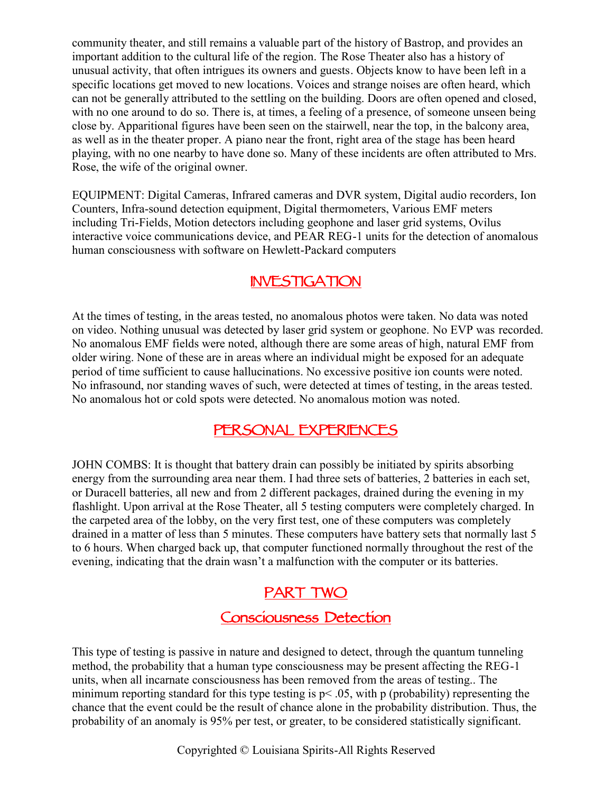community theater, and still remains a valuable part of the history of Bastrop, and provides an important addition to the cultural life of the region. The Rose Theater also has a history of unusual activity, that often intrigues its owners and guests. Objects know to have been left in a specific locations get moved to new locations. Voices and strange noises are often heard, which can not be generally attributed to the settling on the building. Doors are often opened and closed, with no one around to do so. There is, at times, a feeling of a presence, of someone unseen being close by. Apparitional figures have been seen on the stairwell, near the top, in the balcony area, as well as in the theater proper. A piano near the front, right area of the stage has been heard playing, with no one nearby to have done so. Many of these incidents are often attributed to Mrs. Rose, the wife of the original owner.

EQUIPMENT: Digital Cameras, Infrared cameras and DVR system, Digital audio recorders, Ion Counters, Infra-sound detection equipment, Digital thermometers, Various EMF meters including Tri-Fields, Motion detectors including geophone and laser grid systems, Ovilus interactive voice communications device, and PEAR REG-1 units for the detection of anomalous human consciousness with software on Hewlett-Packard computers

#### **INVESTIGATION**

At the times of testing, in the areas tested, no anomalous photos were taken. No data was noted on video. Nothing unusual was detected by laser grid system or geophone. No EVP was recorded. No anomalous EMF fields were noted, although there are some areas of high, natural EMF from older wiring. None of these are in areas where an individual might be exposed for an adequate period of time sufficient to cause hallucinations. No excessive positive ion counts were noted. No infrasound, nor standing waves of such, were detected at times of testing, in the areas tested. No anomalous hot or cold spots were detected. No anomalous motion was noted.

#### **PERSONAL EXPERIENCES**

JOHN COMBS: It is thought that battery drain can possibly be initiated by spirits absorbing energy from the surrounding area near them. I had three sets of batteries, 2 batteries in each set, or Duracell batteries, all new and from 2 different packages, drained during the evening in my flashlight. Upon arrival at the Rose Theater, all 5 testing computers were completely charged. In the carpeted area of the lobby, on the very first test, one of these computers was completely drained in a matter of less than 5 minutes. These computers have battery sets that normally last 5 to 6 hours. When charged back up, that computer functioned normally throughout the rest of the evening, indicating that the drain wasn't a malfunction with the computer or its batteries.

#### **PART TWO**

## **Consciousness Detection**

This type of testing is passive in nature and designed to detect, through the quantum tunneling method, the probability that a human type consciousness may be present affecting the REG-1 units, when all incarnate consciousness has been removed from the areas of testing.. The minimum reporting standard for this type testing is  $p < .05$ , with p (probability) representing the chance that the event could be the result of chance alone in the probability distribution. Thus, the probability of an anomaly is 95% per test, or greater, to be considered statistically significant.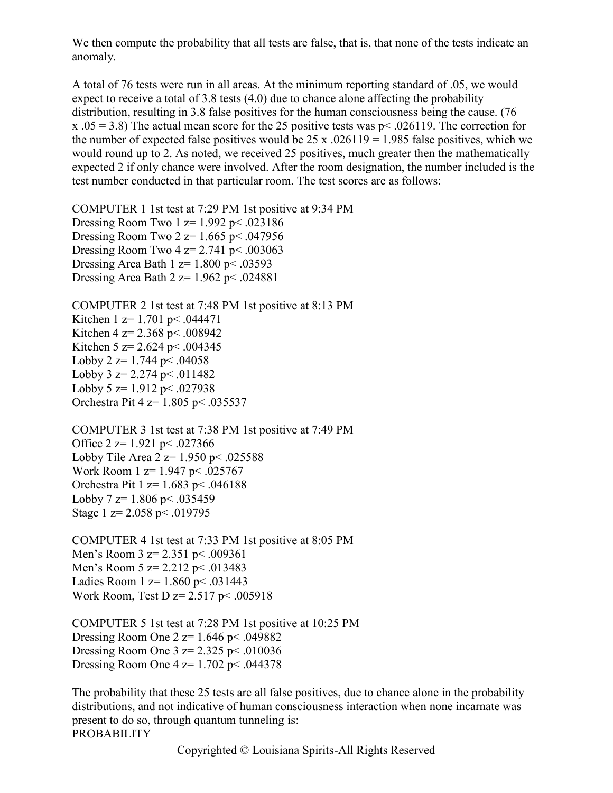We then compute the probability that all tests are false, that is, that none of the tests indicate an anomaly.

A total of 76 tests were run in all areas. At the minimum reporting standard of .05, we would expect to receive a total of 3.8 tests (4.0) due to chance alone affecting the probability distribution, resulting in 3.8 false positives for the human consciousness being the cause. (76 x  $.05 = 3.8$ ) The actual mean score for the 25 positive tests was p< .026119. The correction for the number of expected false positives would be  $25 \times 0.026119 = 1.985$  false positives, which we would round up to 2. As noted, we received 25 positives, much greater then the mathematically expected 2 if only chance were involved. After the room designation, the number included is the test number conducted in that particular room. The test scores are as follows:

COMPUTER 1 1st test at 7:29 PM 1st positive at 9:34 PM Dressing Room Two  $1 \text{ z} = 1.992 \text{ p} \le .023186$ Dressing Room Two 2  $z=1.665$  p< .047956 Dressing Room Two 4  $z=$  2.741 p < .003063 Dressing Area Bath 1  $z=1.800$  p $\leq 0.03593$ Dressing Area Bath  $2 z= 1.962 \text{ p} \le .024881$ 

COMPUTER 2 1st test at 7:48 PM 1st positive at 8:13 PM Kitchen 1 z= 1.701 p < .044471 Kitchen 4 z=  $2.368$  p < .008942 Kitchen 5 z= 2.624 p < .004345 Lobby 2  $z=1.744$  p  $\leq$  04058 Lobby 3  $z = 2.274$  p  $\leq$  011482 Lobby 5  $z=1.912$  p $\leq$  027938 Orchestra Pit 4 z= 1.805 p< .035537

COMPUTER 3 1st test at 7:38 PM 1st positive at 7:49 PM Office  $2 \text{ z} = 1.921 \text{ p} \le .027366$ Lobby Tile Area  $2 z= 1.950 \text{ p} < .025588$ Work Room 1 z= 1.947 p< .025767 Orchestra Pit 1 z= 1.683 p< .046188 Lobby 7  $z=1.806$  p $< .035459$ Stage 1  $z = 2.058$  p  $\leq$  0.019795

COMPUTER 4 1st test at 7:33 PM 1st positive at 8:05 PM Men's Room  $3 \text{ z} = 2.351 \text{ p} \le .009361$ Men's Room  $5 \text{ z} = 2.212 \text{ p} \le .013483$ Ladies Room 1 z= 1.860 p< .031443 Work Room, Test D z= 2.517 p< .005918

COMPUTER 5 1st test at 7:28 PM 1st positive at 10:25 PM Dressing Room One 2  $z=1.646$  p< .049882 Dressing Room One  $3 \text{ z} = 2.325 \text{ p} \leq .010036$ Dressing Room One 4  $z=1.702$  p< .044378

The probability that these 25 tests are all false positives, due to chance alone in the probability distributions, and not indicative of human consciousness interaction when none incarnate was present to do so, through quantum tunneling is: PROBABILITY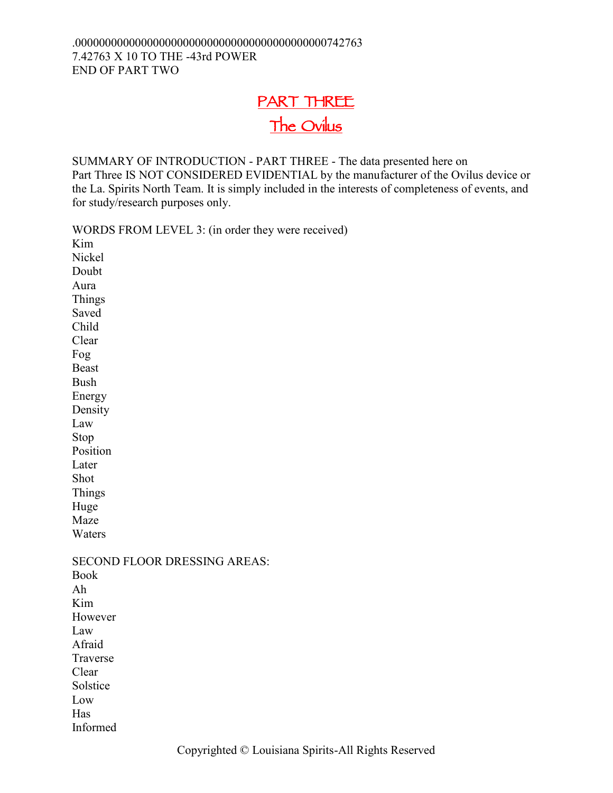## **PART THREE The Ovilus**

SUMMARY OF INTRODUCTION - PART THREE - The data presented here on Part Three IS NOT CONSIDERED EVIDENTIAL by the manufacturer of the Ovilus device or the La. Spirits North Team. It is simply included in the interests of completeness of events, and for study/research purposes only.

WORDS FROM LEVEL 3: (in order they were received) Kim Nickel Doubt Aura Things Saved Child Clear Fog Beast Bush Energy Density Law Stop Position Later Shot Things Huge Maze Waters SECOND FLOOR DRESSING AREAS: Book Ah Kim However Law Afraid Traverse Clear Solstice Low Has Informed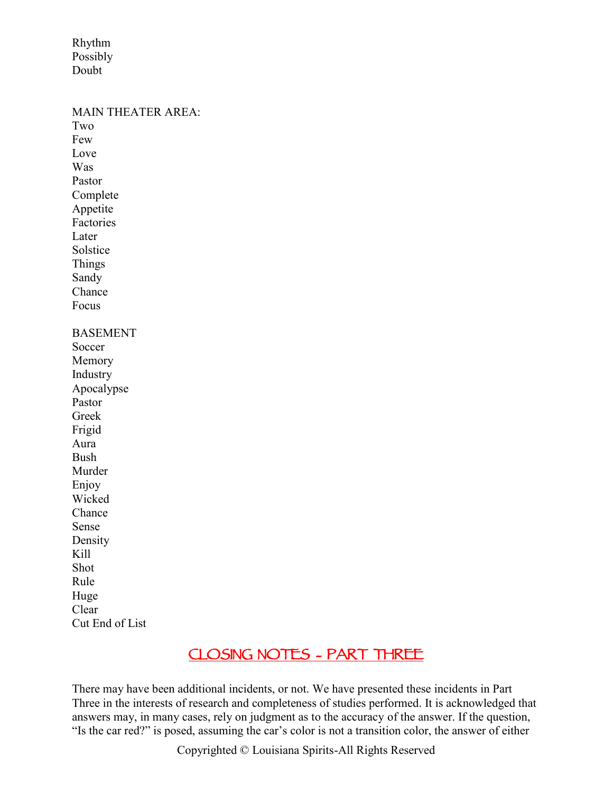Rhythm Possibly Doubt

MAIN THEATER AREA<sup>-</sup> Two Few Love Was Pastor Complete Appetite Factories **Later** Solstice Things Sandy Chance Focus BASEMENT Soccer Memory Industry Apocalypse Pastor Greek Frigid Aura Bush Murder Enjoy Wicked Chance Sense Density Kill Shot Rule Huge Clear Cut End of List

### **CLOSING NOTES – PART THREE**

There may have been additional incidents, or not. We have presented these incidents in Part Three in the interests of research and completeness of studies performed. It is acknowledged that answers may, in many cases, rely on judgment as to the accuracy of the answer. If the question, "Is the car red?" is posed, assuming the car's color is not a transition color, the answer of either

Copyrighted © Louisiana Spirits-All Rights Reserved